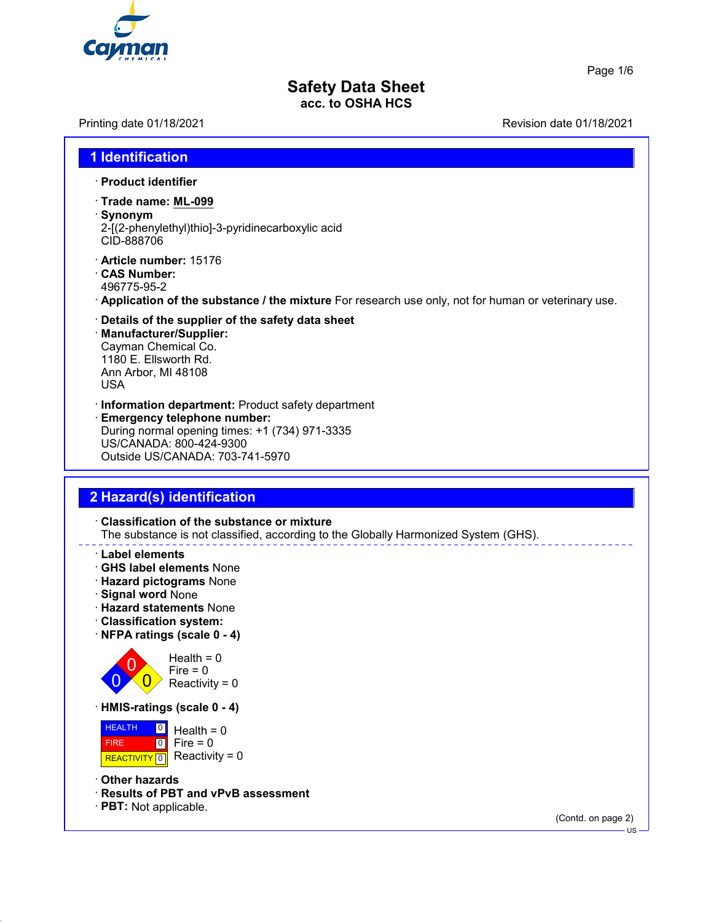

Page 1/6

#### **Safety Data Sheet acc. to OSHA HCS**

Printing date 01/18/2021 Revision date 01/18/2021

#### **1 Identification**

- · **Product identifier**
- · **Trade name: ML-099**
- · **Synonym** 2-[(2-phenylethyl)thio]-3-pyridinecarboxylic acid CID-888706
- · **Article number:** 15176
- · **CAS Number:** 496775-95-2
- · **Application of the substance / the mixture** For research use only, not for human or veterinary use.
- · **Details of the supplier of the safety data sheet**
- · **Manufacturer/Supplier:** Cayman Chemical Co. 1180 E. Ellsworth Rd. Ann Arbor, MI 48108 USA
- · **Information department:** Product safety department
- · **Emergency telephone number:** During normal opening times: +1 (734) 971-3335 US/CANADA: 800-424-9300 Outside US/CANADA: 703-741-5970

#### **2 Hazard(s) identification**

- · **Classification of the substance or mixture** The substance is not classified, according to the Globally Harmonized System (GHS).
- · **Label elements**
- · **GHS label elements** None
- · **Hazard pictograms** None
- · **Signal word** None
- · **Hazard statements** None
- · **Classification system:**
- · **NFPA ratings (scale 0 4)**



 $Health = 0$ Fire  $= 0$ Reactivity =  $0$ 

· **HMIS-ratings (scale 0 - 4)**



- · **Other hazards**
- · **Results of PBT and vPvB assessment**
- · **PBT:** Not applicable.

(Contd. on page 2)

 $-1.8$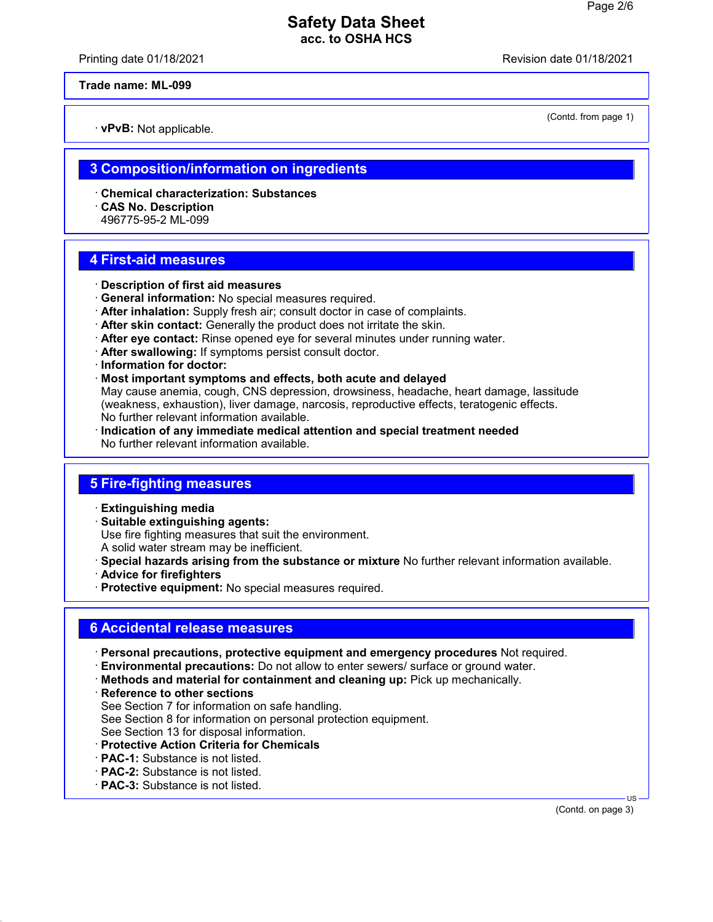Printing date 01/18/2021 Revision date 01/18/2021

**Trade name: ML-099**

· **vPvB:** Not applicable.

(Contd. from page 1)

#### **3 Composition/information on ingredients**

- · **Chemical characterization: Substances**
- · **CAS No. Description**
- 496775-95-2 ML-099

#### **4 First-aid measures**

- · **Description of first aid measures**
- · **General information:** No special measures required.
- · **After inhalation:** Supply fresh air; consult doctor in case of complaints.
- · **After skin contact:** Generally the product does not irritate the skin.
- · **After eye contact:** Rinse opened eye for several minutes under running water.
- · **After swallowing:** If symptoms persist consult doctor.
- · **Information for doctor:**
- · **Most important symptoms and effects, both acute and delayed**

May cause anemia, cough, CNS depression, drowsiness, headache, heart damage, lassitude (weakness, exhaustion), liver damage, narcosis, reproductive effects, teratogenic effects. No further relevant information available.

· **Indication of any immediate medical attention and special treatment needed** No further relevant information available.

## **5 Fire-fighting measures**

- · **Extinguishing media**
- · **Suitable extinguishing agents:**
- Use fire fighting measures that suit the environment.
- A solid water stream may be inefficient.
- · **Special hazards arising from the substance or mixture** No further relevant information available.
- · **Advice for firefighters**
- · **Protective equipment:** No special measures required.

# **6 Accidental release measures**

- · **Personal precautions, protective equipment and emergency procedures** Not required.
- · **Environmental precautions:** Do not allow to enter sewers/ surface or ground water.
- · **Methods and material for containment and cleaning up:** Pick up mechanically.
- · **Reference to other sections** See Section 7 for information on safe handling. See Section 8 for information on personal protection equipment. See Section 13 for disposal information.
- · **Protective Action Criteria for Chemicals**
- · **PAC-1:** Substance is not listed.
- · **PAC-2:** Substance is not listed.
- · **PAC-3:** Substance is not listed.

 US (Contd. on page 3)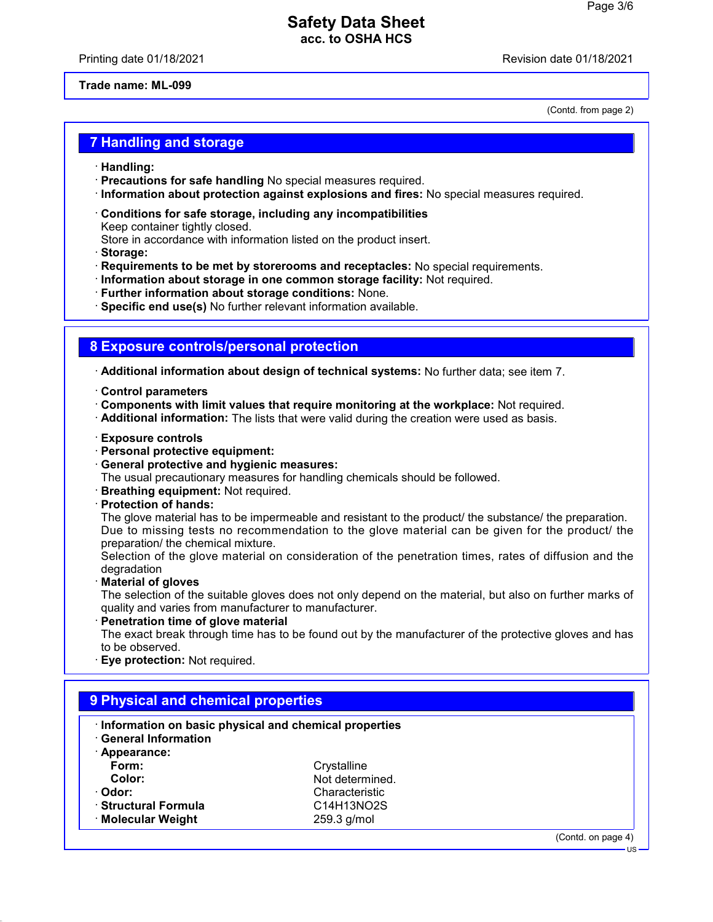Printing date 01/18/2021 **Printing date 01/18/2021** 

(Contd. from page 2)

**Trade name: ML-099**

**7 Handling and storage**

- · **Handling:**
- · **Precautions for safe handling** No special measures required.
- · **Information about protection against explosions and fires:** No special measures required.
- · **Conditions for safe storage, including any incompatibilities** Keep container tightly closed. Store in accordance with information listed on the product insert.
- · **Storage:**
- · **Requirements to be met by storerooms and receptacles:** No special requirements.
- · **Information about storage in one common storage facility:** Not required.
- · **Further information about storage conditions:** None.
- · **Specific end use(s)** No further relevant information available.

#### **8 Exposure controls/personal protection**

· **Additional information about design of technical systems:** No further data; see item 7.

- · **Control parameters**
- · **Components with limit values that require monitoring at the workplace:** Not required.
- · **Additional information:** The lists that were valid during the creation were used as basis.
- · **Exposure controls**
- · **Personal protective equipment:**
- · **General protective and hygienic measures:**
- The usual precautionary measures for handling chemicals should be followed.
- · **Breathing equipment:** Not required.
- · **Protection of hands:**

The glove material has to be impermeable and resistant to the product/ the substance/ the preparation. Due to missing tests no recommendation to the glove material can be given for the product/ the preparation/ the chemical mixture.

Selection of the glove material on consideration of the penetration times, rates of diffusion and the degradation

· **Material of gloves**

The selection of the suitable gloves does not only depend on the material, but also on further marks of quality and varies from manufacturer to manufacturer.

· **Penetration time of glove material**

The exact break through time has to be found out by the manufacturer of the protective gloves and has to be observed.

· **Eye protection:** Not required.

| Information on basic physical and chemical properties<br><b>General Information</b> |                 |  |  |
|-------------------------------------------------------------------------------------|-----------------|--|--|
| Appearance:                                                                         |                 |  |  |
| Form:                                                                               | Crystalline     |  |  |
| Color:                                                                              | Not determined. |  |  |
| Odor:                                                                               | Characteristic  |  |  |
| · Structural Formula                                                                | C14H13NO2S      |  |  |
| · Molecular Weight                                                                  | 259.3 g/mol     |  |  |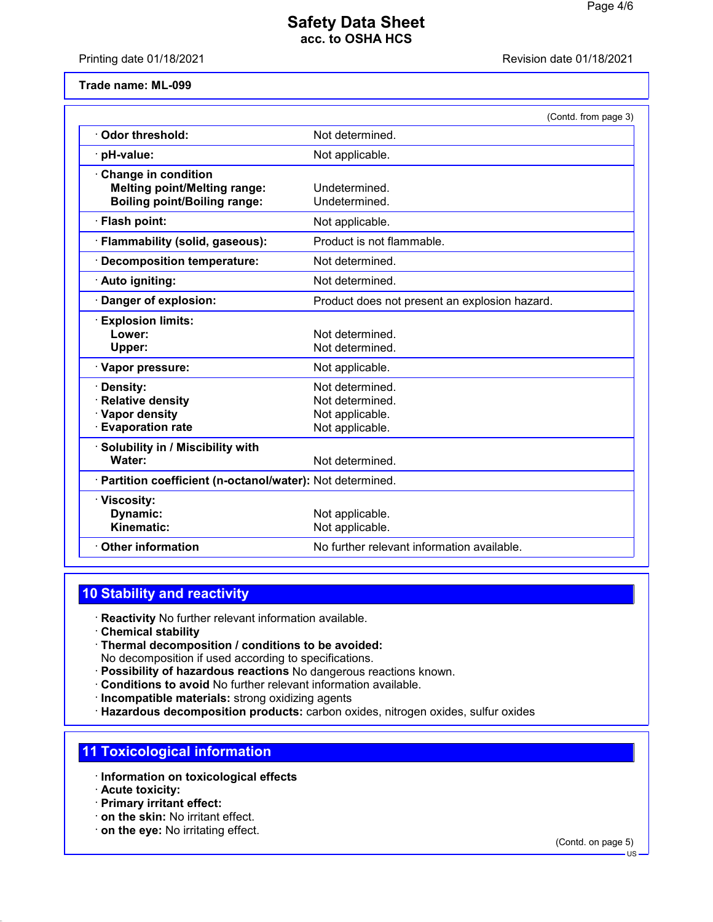Printing date 01/18/2021 Revision date 01/18/2021

**Trade name: ML-099**

|                                                                                                          | (Contd. from page 3)                                                     |
|----------------------------------------------------------------------------------------------------------|--------------------------------------------------------------------------|
| Odor threshold:                                                                                          | Not determined.                                                          |
| pH-value:                                                                                                | Not applicable.                                                          |
| <b>Change in condition</b><br><b>Melting point/Melting range:</b><br><b>Boiling point/Boiling range:</b> | Undetermined.<br>Undetermined.                                           |
| · Flash point:                                                                                           | Not applicable.                                                          |
| Flammability (solid, gaseous):                                                                           | Product is not flammable.                                                |
| <b>Decomposition temperature:</b>                                                                        | Not determined.                                                          |
| · Auto igniting:                                                                                         | Not determined.                                                          |
| Danger of explosion:                                                                                     | Product does not present an explosion hazard.                            |
| <b>Explosion limits:</b><br>Lower:<br>Upper:                                                             | Not determined.<br>Not determined.                                       |
| · Vapor pressure:                                                                                        | Not applicable.                                                          |
| Density:<br><b>Relative density</b><br>· Vapor density<br><b>Evaporation rate</b>                        | Not determined.<br>Not determined.<br>Not applicable.<br>Not applicable. |
| Solubility in / Miscibility with<br>Water:                                                               | Not determined.                                                          |
| · Partition coefficient (n-octanol/water): Not determined.                                               |                                                                          |
| · Viscosity:<br>Dynamic:<br>Kinematic:                                                                   | Not applicable.<br>Not applicable.                                       |
| <b>Other information</b>                                                                                 | No further relevant information available.                               |

## **10 Stability and reactivity**

· **Reactivity** No further relevant information available.

- · **Chemical stability**
- · **Thermal decomposition / conditions to be avoided:** No decomposition if used according to specifications.
- · **Possibility of hazardous reactions** No dangerous reactions known.
- · **Conditions to avoid** No further relevant information available.
- · **Incompatible materials:** strong oxidizing agents
- · **Hazardous decomposition products:** carbon oxides, nitrogen oxides, sulfur oxides

#### **11 Toxicological information**

- · **Information on toxicological effects**
- · **Acute toxicity:**
- · **Primary irritant effect:**
- · **on the skin:** No irritant effect.
- · **on the eye:** No irritating effect.

(Contd. on page 5)

US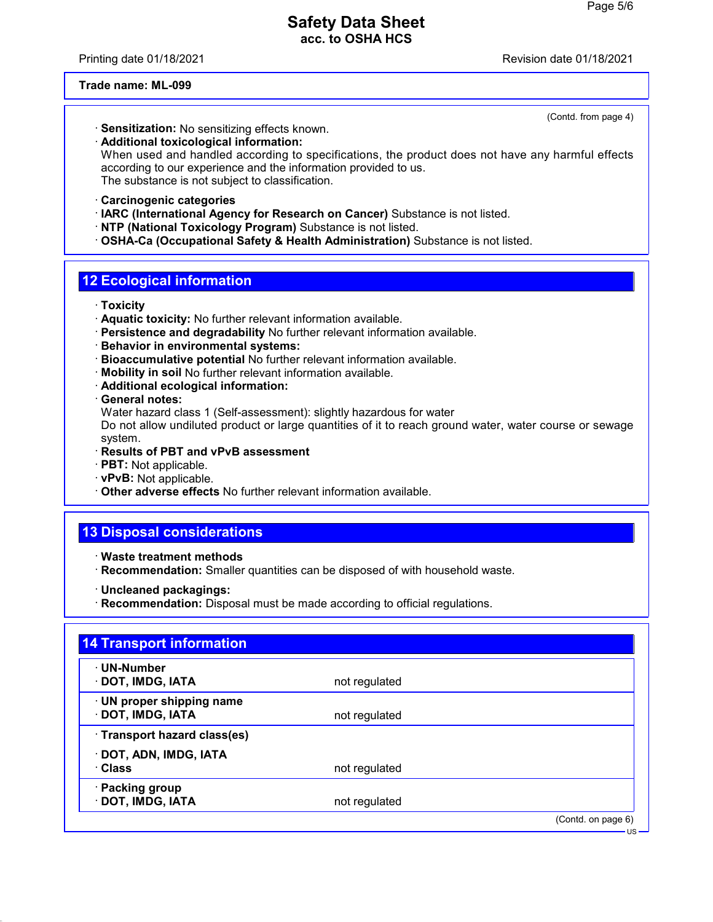Printing date 01/18/2021 Revision date 01/18/2021

(Contd. from page 4)

#### **Trade name: ML-099**

- · **Sensitization:** No sensitizing effects known.
- · **Additional toxicological information:**

When used and handled according to specifications, the product does not have any harmful effects according to our experience and the information provided to us. The substance is not subject to classification.

- · **Carcinogenic categories**
- · **IARC (International Agency for Research on Cancer)** Substance is not listed.
- · **NTP (National Toxicology Program)** Substance is not listed.
- · **OSHA-Ca (Occupational Safety & Health Administration)** Substance is not listed.

## **12 Ecological information**

- · **Toxicity**
- · **Aquatic toxicity:** No further relevant information available.
- · **Persistence and degradability** No further relevant information available.
- · **Behavior in environmental systems:**
- · **Bioaccumulative potential** No further relevant information available.
- · **Mobility in soil** No further relevant information available.
- · **Additional ecological information:**
- · **General notes:**

Water hazard class 1 (Self-assessment): slightly hazardous for water

Do not allow undiluted product or large quantities of it to reach ground water, water course or sewage system.

- · **Results of PBT and vPvB assessment**
- · **PBT:** Not applicable.
- · **vPvB:** Not applicable.
- · **Other adverse effects** No further relevant information available.

# **13 Disposal considerations**

- · **Waste treatment methods**
- · **Recommendation:** Smaller quantities can be disposed of with household waste.
- · **Uncleaned packagings:**
- · **Recommendation:** Disposal must be made according to official regulations.

| · UN-Number                  |               |  |
|------------------------------|---------------|--|
| · DOT, IMDG, IATA            | not regulated |  |
| · UN proper shipping name    |               |  |
| · DOT, IMDG, IATA            | not regulated |  |
| · Transport hazard class(es) |               |  |
| · DOT, ADN, IMDG, IATA       |               |  |
| · Class                      | not regulated |  |
| · Packing group              |               |  |
| · DOT, IMDG, IATA            | not regulated |  |